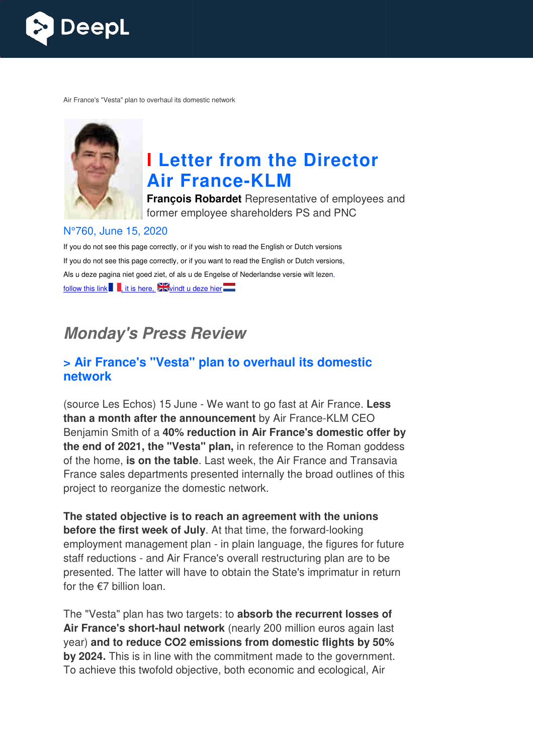

Air France's "Vesta" plan to overhaul its domestic network



# **I Letter from the Director Air France France-KLM**

**François Robardet** Representative of employees and former employee shareholders PS and PNC

#### N°760, June 15, 2020

If you do not see this page correctly, or if you wish to read the English or Dutch versions If you do not see this page correctly, or if you want to read the English or Dutch versions, Als u deze pagina niet goed ziet, of als u de Engelse of Nederlandse versie wilt lezen, follow this link  $\blacksquare$ , it is here,  $\blacktriangleright$  windt u deze hier

## **Monday's Press Review**

## **> Air France's "Vesta" plan to overhaul its domestic network**

(source Les Echos) 15 June - We want to go fast at Air France. **Less than a month after the announcement** by Air France-KLM CEO Benjamin Smith of a **40% reduction in Air France's domestic offer by the end of 2021, the "Vesta" plan,** in reference to the Roman goddess of the home, **is on the table** . Last week, the Air France and Transavia France sales departments presented internally the broad outlines of this project to reorganize the domestic network.

The stated objective is to reach an agreement with the unions **before the first week of July** . At that time, the forward-looking employment management plan - in plain language, the figures for future staff reductions - and Air France's overall restructuring plan are to be presented. The latter will have to obtain the State's imprimatur in return for the €7 billion loan.

The "Vesta" plan has two targets: to **absorb the recurrent losses of**  Air France's short-haul network (nearly 200 million euros again last year) **and to reduce CO2 emissions from domestic flights by 50% by 2024.** This is in line with the commitment made to the government. To achieve this twofold objective, both economic and ecological, Air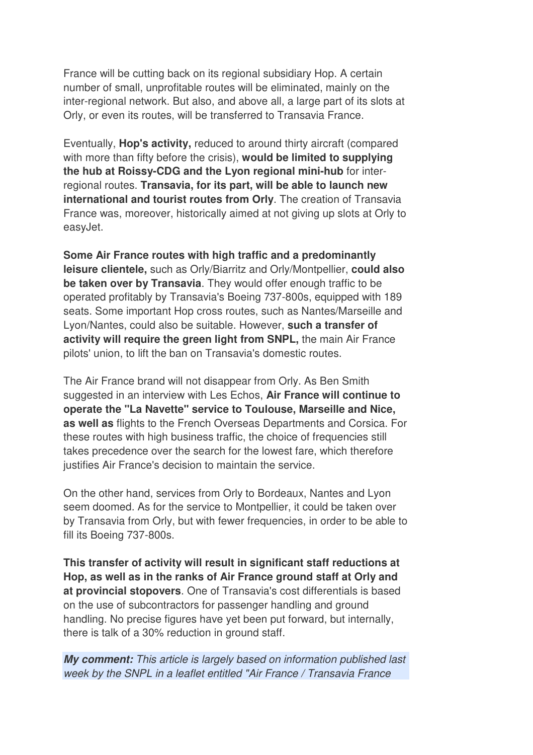France will be cutting back on its regional subsidiary Hop. A certain number of small, unprofitable routes will be eliminated, mainly on the inter-regional network. But also, and above all, a large part of its slots at Orly, or even its routes, will be transferred to Transavia France.

Eventually, **Hop's activity,** reduced to around thirty aircraft (compared with more than fifty before the crisis), **would be limited to supplying the hub at Roissy-CDG and the Lyon regional mini-hub** for interregional routes. **Transavia, for its part, will be able to launch new international and tourist routes from Orly**. The creation of Transavia France was, moreover, historically aimed at not giving up slots at Orly to easyJet.

**Some Air France routes with high traffic and a predominantly leisure clientele,** such as Orly/Biarritz and Orly/Montpellier, **could also be taken over by Transavia**. They would offer enough traffic to be operated profitably by Transavia's Boeing 737-800s, equipped with 189 seats. Some important Hop cross routes, such as Nantes/Marseille and Lyon/Nantes, could also be suitable. However, **such a transfer of activity will require the green light from SNPL,** the main Air France pilots' union, to lift the ban on Transavia's domestic routes.

The Air France brand will not disappear from Orly. As Ben Smith suggested in an interview with Les Echos, **Air France will continue to operate the "La Navette" service to Toulouse, Marseille and Nice, as well as** flights to the French Overseas Departments and Corsica. For these routes with high business traffic, the choice of frequencies still takes precedence over the search for the lowest fare, which therefore justifies Air France's decision to maintain the service.

On the other hand, services from Orly to Bordeaux, Nantes and Lyon seem doomed. As for the service to Montpellier, it could be taken over by Transavia from Orly, but with fewer frequencies, in order to be able to fill its Boeing 737-800s.

**This transfer of activity will result in significant staff reductions at Hop, as well as in the ranks of Air France ground staff at Orly and at provincial stopovers**. One of Transavia's cost differentials is based on the use of subcontractors for passenger handling and ground handling. No precise figures have yet been put forward, but internally, there is talk of a 30% reduction in ground staff.

**My comment:** This article is largely based on information published last week by the SNPL in a leaflet entitled "Air France / Transavia France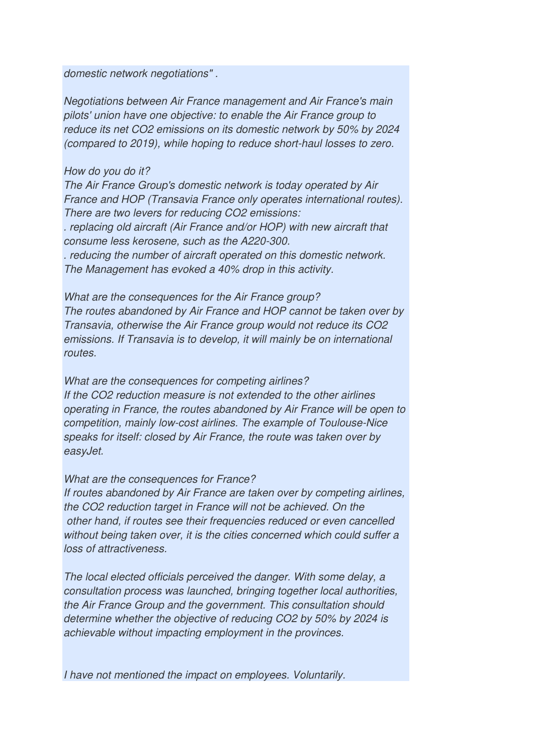domestic network negotiations" .

Negotiations between Air France management and Air France's main pilots' union have one objective: to enable the Air France group to reduce its net CO2 emissions on its domestic network by 50% by 2024 (compared to 2019), while hoping to reduce short-haul losses to zero.

#### How do you do it?

The Air France Group's domestic network is today operated by Air France and HOP (Transavia France only operates international routes). There are two levers for reducing CO2 emissions: . replacing old aircraft (Air France and/or HOP) with new aircraft that consume less kerosene, such as the A220-300. . reducing the number of aircraft operated on this domestic network. The Management has evoked a 40% drop in this activity.

What are the consequences for the Air France group? The routes abandoned by Air France and HOP cannot be taken over by Transavia, otherwise the Air France group would not reduce its CO2 emissions. If Transavia is to develop, it will mainly be on international routes.

What are the consequences for competing airlines? If the CO2 reduction measure is not extended to the other airlines operating in France, the routes abandoned by Air France will be open to competition, mainly low-cost airlines. The example of Toulouse-Nice speaks for itself: closed by Air France, the route was taken over by easyJet.

What are the consequences for France?

If routes abandoned by Air France are taken over by competing airlines, the CO2 reduction target in France will not be achieved. On the other hand, if routes see their frequencies reduced or even cancelled without being taken over, it is the cities concerned which could suffer a loss of attractiveness.

The local elected officials perceived the danger. With some delay, a consultation process was launched, bringing together local authorities, the Air France Group and the government. This consultation should determine whether the objective of reducing CO2 by 50% by 2024 is achievable without impacting employment in the provinces.

I have not mentioned the impact on employees. Voluntarily.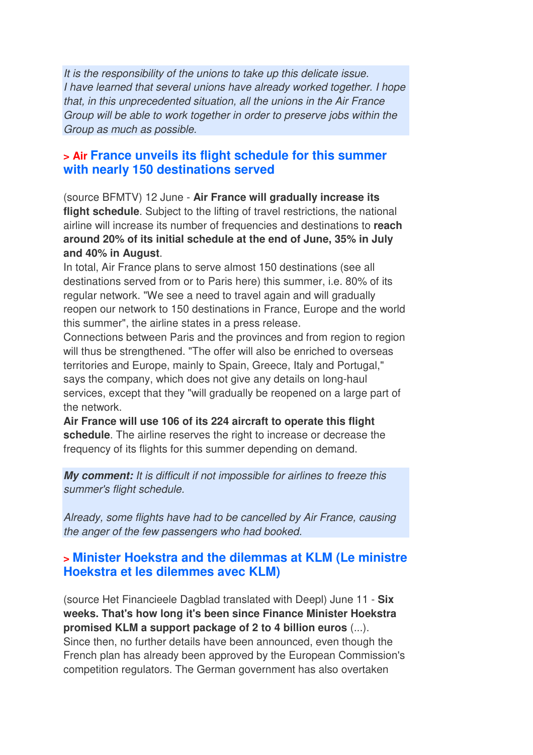It is the responsibility of the unions to take up this delicate issue. I have learned that several unions have already worked together. I hope that, in this unprecedented situation, all the unions in the Air France Group will be able to work together in order to preserve jobs within the Group as much as possible.

### **> Air France unveils its flight schedule for this summer with nearly 150 destinations served**

(source BFMTV) 12 June - **Air France will gradually increase its flight schedule**. Subject to the lifting of travel restrictions, the national airline will increase its number of frequencies and destinations to **reach around 20% of its initial schedule at the end of June, 35% in July and 40% in August**.

In total, Air France plans to serve almost 150 destinations (see all destinations served from or to Paris here) this summer, i.e. 80% of its regular network. "We see a need to travel again and will gradually reopen our network to 150 destinations in France, Europe and the world this summer", the airline states in a press release.

Connections between Paris and the provinces and from region to region will thus be strengthened. "The offer will also be enriched to overseas territories and Europe, mainly to Spain, Greece, Italy and Portugal," says the company, which does not give any details on long-haul services, except that they "will gradually be reopened on a large part of the network.

**Air France will use 106 of its 224 aircraft to operate this flight schedule**. The airline reserves the right to increase or decrease the frequency of its flights for this summer depending on demand.

**My comment:** It is difficult if not impossible for airlines to freeze this summer's flight schedule.

Already, some flights have had to be cancelled by Air France, causing the anger of the few passengers who had booked.

## **> Minister Hoekstra and the dilemmas at KLM (Le ministre Hoekstra et les dilemmes avec KLM)**

(source Het Financieele Dagblad translated with Deepl) June 11 - **Six weeks. That's how long it's been since Finance Minister Hoekstra promised KLM a support package of 2 to 4 billion euros** (...). Since then, no further details have been announced, even though the French plan has already been approved by the European Commission's competition regulators. The German government has also overtaken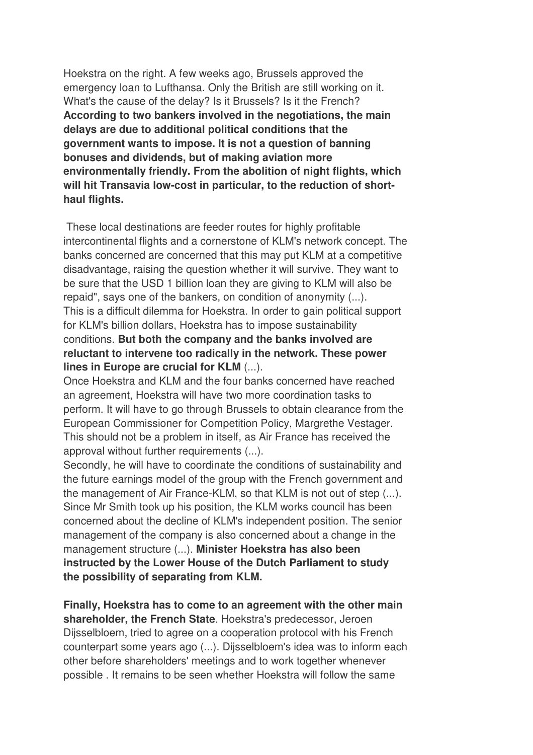Hoekstra on the right. A few weeks ago, Brussels approved the emergency loan to Lufthansa. Only the British are still working on it. What's the cause of the delay? Is it Brussels? Is it the French? **According to two bankers involved in the negotiations, the main delays are due to additional political conditions that the government wants to impose. It is not a question of banning bonuses and dividends, but of making aviation more environmentally friendly. From the abolition of night flights, which will hit Transavia low-cost in particular, to the reduction of shorthaul flights.** 

 These local destinations are feeder routes for highly profitable intercontinental flights and a cornerstone of KLM's network concept. The banks concerned are concerned that this may put KLM at a competitive disadvantage, raising the question whether it will survive. They want to be sure that the USD 1 billion loan they are giving to KLM will also be repaid", says one of the bankers, on condition of anonymity (...). This is a difficult dilemma for Hoekstra. In order to gain political support for KLM's billion dollars, Hoekstra has to impose sustainability conditions. **But both the company and the banks involved are reluctant to intervene too radically in the network. These power lines in Europe are crucial for KLM** (...).

Once Hoekstra and KLM and the four banks concerned have reached an agreement, Hoekstra will have two more coordination tasks to perform. It will have to go through Brussels to obtain clearance from the European Commissioner for Competition Policy, Margrethe Vestager. This should not be a problem in itself, as Air France has received the approval without further requirements (...).

Secondly, he will have to coordinate the conditions of sustainability and the future earnings model of the group with the French government and the management of Air France-KLM, so that KLM is not out of step (...). Since Mr Smith took up his position, the KLM works council has been concerned about the decline of KLM's independent position. The senior management of the company is also concerned about a change in the management structure (...). **Minister Hoekstra has also been instructed by the Lower House of the Dutch Parliament to study the possibility of separating from KLM.** 

**Finally, Hoekstra has to come to an agreement with the other main shareholder, the French State**. Hoekstra's predecessor, Jeroen Dijsselbloem, tried to agree on a cooperation protocol with his French counterpart some years ago (...). Dijsselbloem's idea was to inform each other before shareholders' meetings and to work together whenever possible . It remains to be seen whether Hoekstra will follow the same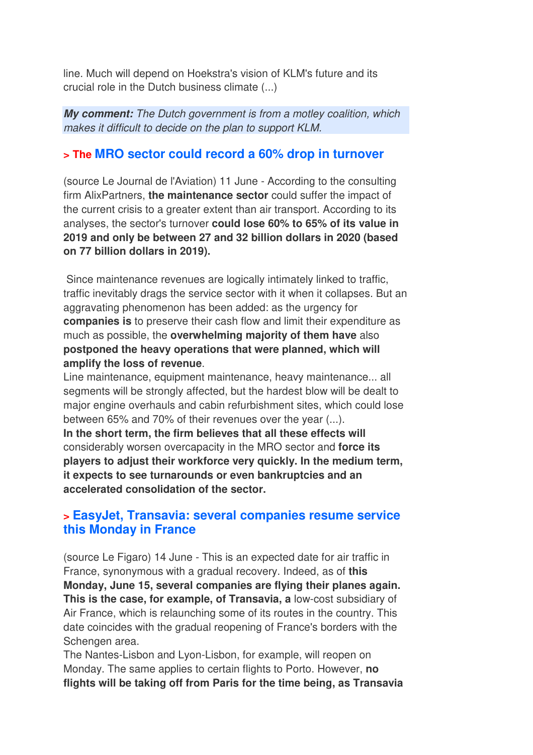line. Much will depend on Hoekstra's vision of KLM's future and its crucial role in the Dutch business climate (...)

**My comment:** The Dutch government is from a motley coalition, which makes it difficult to decide on the plan to support KLM.

### **> The MRO sector could record a 60% drop in turnover**

(source Le Journal de l'Aviation) 11 June - According to the consulting firm AlixPartners, **the maintenance sector** could suffer the impact of the current crisis to a greater extent than air transport. According to its analyses, the sector's turnover **could lose 60% to 65% of its value in 2019 and only be between 27 and 32 billion dollars in 2020 (based on 77 billion dollars in 2019).** 

 Since maintenance revenues are logically intimately linked to traffic, traffic inevitably drags the service sector with it when it collapses. But an aggravating phenomenon has been added: as the urgency for **companies is** to preserve their cash flow and limit their expenditure as much as possible, the **overwhelming majority of them have** also **postponed the heavy operations that were planned, which will amplify the loss of revenue**.

Line maintenance, equipment maintenance, heavy maintenance... all segments will be strongly affected, but the hardest blow will be dealt to major engine overhauls and cabin refurbishment sites, which could lose between 65% and 70% of their revenues over the year (...). **In the short term, the firm believes that all these effects will** considerably worsen overcapacity in the MRO sector and **force its players to adjust their workforce very quickly. In the medium term, it expects to see turnarounds or even bankruptcies and an accelerated consolidation of the sector.**

### **> EasyJet, Transavia: several companies resume service this Monday in France**

(source Le Figaro) 14 June - This is an expected date for air traffic in France, synonymous with a gradual recovery. Indeed, as of **this Monday, June 15, several companies are flying their planes again. This is the case, for example, of Transavia, a** low-cost subsidiary of Air France, which is relaunching some of its routes in the country. This date coincides with the gradual reopening of France's borders with the Schengen area.

The Nantes-Lisbon and Lyon-Lisbon, for example, will reopen on Monday. The same applies to certain flights to Porto. However, **no flights will be taking off from Paris for the time being, as Transavia**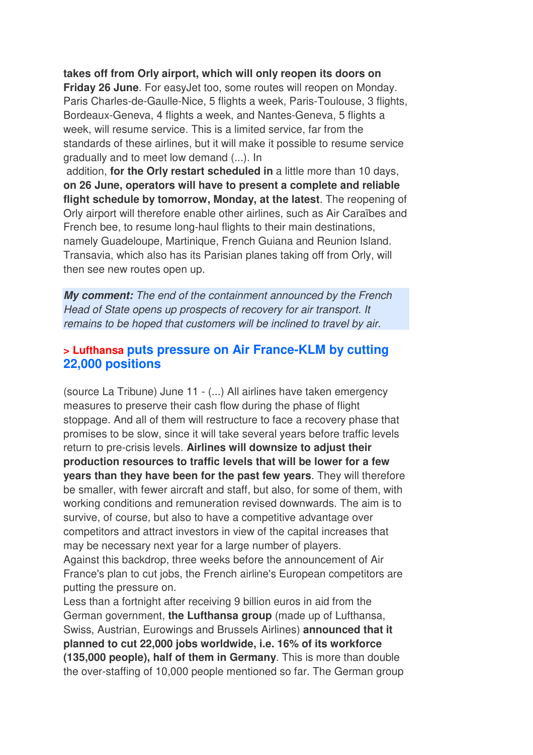**takes off from Orly airport, which will only reopen its doors on Friday 26 June**. For easyJet too, some routes will reopen on Monday. Paris Charles-de-Gaulle-Nice, 5 flights a week, Paris-Toulouse, 3 flights, Bordeaux-Geneva, 4 flights a week, and Nantes-Geneva, 5 flights a week, will resume service. This is a limited service, far from the standards of these airlines, but it will make it possible to resume service gradually and to meet low demand (...). In

 addition, **for the Orly restart scheduled in** a little more than 10 days, **on 26 June, operators will have to present a complete and reliable flight schedule by tomorrow, Monday, at the latest**. The reopening of Orly airport will therefore enable other airlines, such as Air Caraïbes and French bee, to resume long-haul flights to their main destinations, namely Guadeloupe, Martinique, French Guiana and Reunion Island. Transavia, which also has its Parisian planes taking off from Orly, will then see new routes open up.

**My comment:** The end of the containment announced by the French Head of State opens up prospects of recovery for air transport. It remains to be hoped that customers will be inclined to travel by air.

#### **> Lufthansa puts pressure on Air France-KLM by cutting 22,000 positions**

(source La Tribune) June 11 - (...) All airlines have taken emergency measures to preserve their cash flow during the phase of flight stoppage. And all of them will restructure to face a recovery phase that promises to be slow, since it will take several years before traffic levels return to pre-crisis levels. **Airlines will downsize to adjust their production resources to traffic levels that will be lower for a few years than they have been for the past few years**. They will therefore be smaller, with fewer aircraft and staff, but also, for some of them, with working conditions and remuneration revised downwards. The aim is to survive, of course, but also to have a competitive advantage over competitors and attract investors in view of the capital increases that may be necessary next year for a large number of players. Against this backdrop, three weeks before the announcement of Air

France's plan to cut jobs, the French airline's European competitors are putting the pressure on.

Less than a fortnight after receiving 9 billion euros in aid from the German government, **the Lufthansa group** (made up of Lufthansa, Swiss, Austrian, Eurowings and Brussels Airlines) **announced that it planned to cut 22,000 jobs worldwide, i.e. 16% of its workforce (135,000 people), half of them in Germany**. This is more than double the over-staffing of 10,000 people mentioned so far. The German group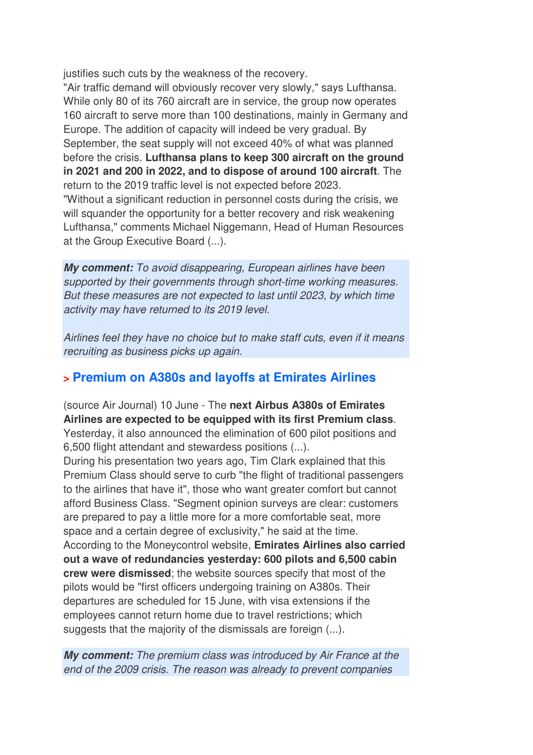justifies such cuts by the weakness of the recovery.

"Air traffic demand will obviously recover very slowly," says Lufthansa. While only 80 of its 760 aircraft are in service, the group now operates 160 aircraft to serve more than 100 destinations, mainly in Germany and Europe. The addition of capacity will indeed be very gradual. By September, the seat supply will not exceed 40% of what was planned before the crisis. **Lufthansa plans to keep 300 aircraft on the ground in 2021 and 200 in 2022, and to dispose of around 100 aircraft**. The return to the 2019 traffic level is not expected before 2023. "Without a significant reduction in personnel costs during the crisis, we will squander the opportunity for a better recovery and risk weakening Lufthansa," comments Michael Niggemann, Head of Human Resources at the Group Executive Board (...).

**My comment:** To avoid disappearing, European airlines have been supported by their governments through short-time working measures. But these measures are not expected to last until 2023, by which time activity may have returned to its 2019 level.

Airlines feel they have no choice but to make staff cuts, even if it means recruiting as business picks up again.

#### **> Premium on A380s and layoffs at Emirates Airlines**

(source Air Journal) 10 June - The **next Airbus A380s of Emirates Airlines are expected to be equipped with its first Premium class**. Yesterday, it also announced the elimination of 600 pilot positions and 6,500 flight attendant and stewardess positions (...).

During his presentation two years ago, Tim Clark explained that this Premium Class should serve to curb "the flight of traditional passengers to the airlines that have it", those who want greater comfort but cannot afford Business Class. "Segment opinion surveys are clear: customers are prepared to pay a little more for a more comfortable seat, more space and a certain degree of exclusivity," he said at the time. According to the Moneycontrol website, **Emirates Airlines also carried out a wave of redundancies yesterday: 600 pilots and 6,500 cabin crew were dismissed**; the website sources specify that most of the pilots would be "first officers undergoing training on A380s. Their departures are scheduled for 15 June, with visa extensions if the employees cannot return home due to travel restrictions; which suggests that the majority of the dismissals are foreign (...).

**My comment:** The premium class was introduced by Air France at the end of the 2009 crisis. The reason was already to prevent companies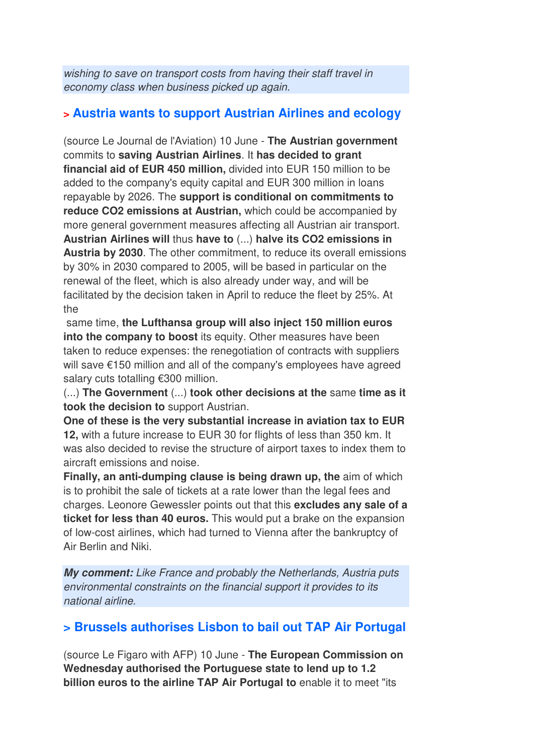wishing to save on transport costs from having their staff travel in economy class when business picked up again.

## **> Austria wants to support Austrian Airlines and ecology**

(source Le Journal de l'Aviation) 10 June - **The Austrian government** commits to **saving Austrian Airlines**. It **has decided to grant financial aid of EUR 450 million,** divided into EUR 150 million to be added to the company's equity capital and EUR 300 million in loans repayable by 2026. The **support is conditional on commitments to reduce CO2 emissions at Austrian,** which could be accompanied by more general government measures affecting all Austrian air transport. **Austrian Airlines will** thus **have to** (...) **halve its CO2 emissions in Austria by 2030**. The other commitment, to reduce its overall emissions by 30% in 2030 compared to 2005, will be based in particular on the renewal of the fleet, which is also already under way, and will be facilitated by the decision taken in April to reduce the fleet by 25%. At the

 same time, **the Lufthansa group will also inject 150 million euros into the company to boost** its equity. Other measures have been taken to reduce expenses: the renegotiation of contracts with suppliers will save €150 million and all of the company's employees have agreed salary cuts totalling €300 million.

(...) **The Government** (...) **took other decisions at the** same **time as it took the decision to** support Austrian.

**One of these is the very substantial increase in aviation tax to EUR 12,** with a future increase to EUR 30 for flights of less than 350 km. It was also decided to revise the structure of airport taxes to index them to aircraft emissions and noise.

**Finally, an anti-dumping clause is being drawn up, the** aim of which is to prohibit the sale of tickets at a rate lower than the legal fees and charges. Leonore Gewessler points out that this **excludes any sale of a ticket for less than 40 euros.** This would put a brake on the expansion of low-cost airlines, which had turned to Vienna after the bankruptcy of Air Berlin and Niki.

**My comment:** Like France and probably the Netherlands, Austria puts environmental constraints on the financial support it provides to its national airline.

## **> Brussels authorises Lisbon to bail out TAP Air Portugal**

(source Le Figaro with AFP) 10 June - **The European Commission on Wednesday authorised the Portuguese state to lend up to 1.2 billion euros to the airline TAP Air Portugal to** enable it to meet "its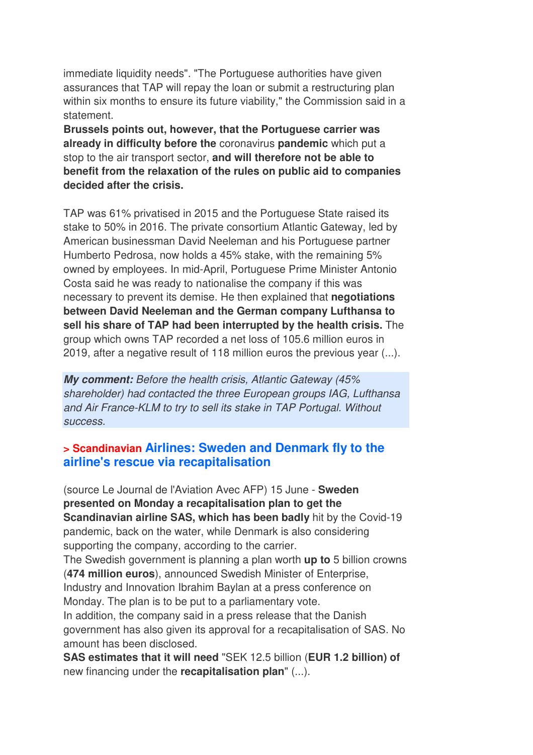immediate liquidity needs". "The Portuguese authorities have given assurances that TAP will repay the loan or submit a restructuring plan within six months to ensure its future viability," the Commission said in a statement.

**Brussels points out, however, that the Portuguese carrier was already in difficulty before the** coronavirus **pandemic** which put a stop to the air transport sector, **and will therefore not be able to benefit from the relaxation of the rules on public aid to companies decided after the crisis.** 

TAP was 61% privatised in 2015 and the Portuguese State raised its stake to 50% in 2016. The private consortium Atlantic Gateway, led by American businessman David Neeleman and his Portuguese partner Humberto Pedrosa, now holds a 45% stake, with the remaining 5% owned by employees. In mid-April, Portuguese Prime Minister Antonio Costa said he was ready to nationalise the company if this was necessary to prevent its demise. He then explained that **negotiations between David Neeleman and the German company Lufthansa to sell his share of TAP had been interrupted by the health crisis.** The group which owns TAP recorded a net loss of 105.6 million euros in 2019, after a negative result of 118 million euros the previous year (...).

**My comment:** Before the health crisis, Atlantic Gateway (45% shareholder) had contacted the three European groups IAG, Lufthansa and Air France-KLM to try to sell its stake in TAP Portugal. Without success.

## **> Scandinavian Airlines: Sweden and Denmark fly to the airline's rescue via recapitalisation**

(source Le Journal de l'Aviation Avec AFP) 15 June - **Sweden presented on Monday a recapitalisation plan to get the Scandinavian airline SAS, which has been badly** hit by the Covid-19 pandemic, back on the water, while Denmark is also considering supporting the company, according to the carrier. The Swedish government is planning a plan worth **up to** 5 billion crowns (**474 million euros**), announced Swedish Minister of Enterprise,

Industry and Innovation Ibrahim Baylan at a press conference on Monday. The plan is to be put to a parliamentary vote.

In addition, the company said in a press release that the Danish government has also given its approval for a recapitalisation of SAS. No amount has been disclosed.

**SAS estimates that it will need** "SEK 12.5 billion (**EUR 1.2 billion) of** new financing under the **recapitalisation plan**" (...).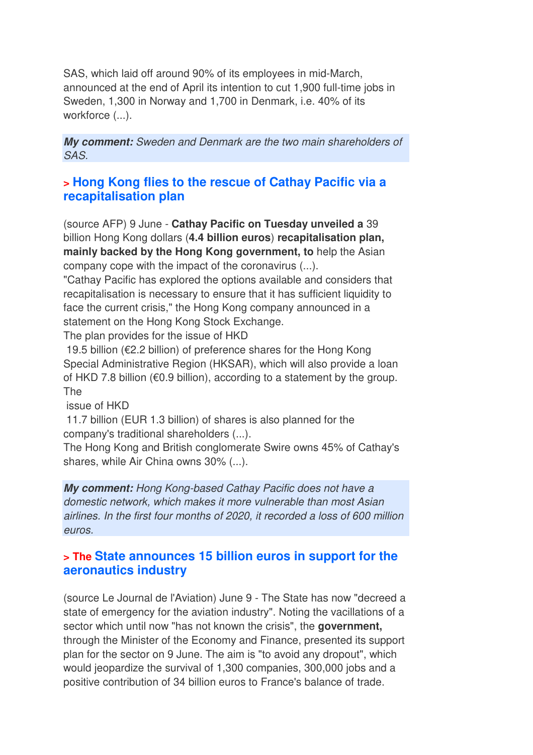SAS, which laid off around 90% of its employees in mid-March, announced at the end of April its intention to cut 1,900 full-time jobs in Sweden, 1,300 in Norway and 1,700 in Denmark, i.e. 40% of its workforce  $(...)$ .

**My comment:** Sweden and Denmark are the two main shareholders of SAS.

### **> Hong Kong flies to the rescue of Cathay Pacific via a recapitalisation plan**

(source AFP) 9 June - **Cathay Pacific on Tuesday unveiled a** 39 billion Hong Kong dollars (**4.4 billion euros**) **recapitalisation plan, mainly backed by the Hong Kong government, to** help the Asian company cope with the impact of the coronavirus (...).

"Cathay Pacific has explored the options available and considers that recapitalisation is necessary to ensure that it has sufficient liquidity to face the current crisis," the Hong Kong company announced in a statement on the Hong Kong Stock Exchange.

The plan provides for the issue of HKD

 19.5 billion (€2.2 billion) of preference shares for the Hong Kong Special Administrative Region (HKSAR), which will also provide a loan of HKD 7.8 billion ( $\epsilon$ 0.9 billion), according to a statement by the group. The

issue of HKD

 11.7 billion (EUR 1.3 billion) of shares is also planned for the company's traditional shareholders (...).

The Hong Kong and British conglomerate Swire owns 45% of Cathay's shares, while Air China owns 30% (...).

**My comment:** Hong Kong-based Cathay Pacific does not have a domestic network, which makes it more vulnerable than most Asian airlines. In the first four months of 2020, it recorded a loss of 600 million euros.

### **> The State announces 15 billion euros in support for the aeronautics industry**

(source Le Journal de l'Aviation) June 9 - The State has now "decreed a state of emergency for the aviation industry". Noting the vacillations of a sector which until now "has not known the crisis", the **government,** through the Minister of the Economy and Finance, presented its support plan for the sector on 9 June. The aim is "to avoid any dropout", which would jeopardize the survival of 1,300 companies, 300,000 jobs and a positive contribution of 34 billion euros to France's balance of trade.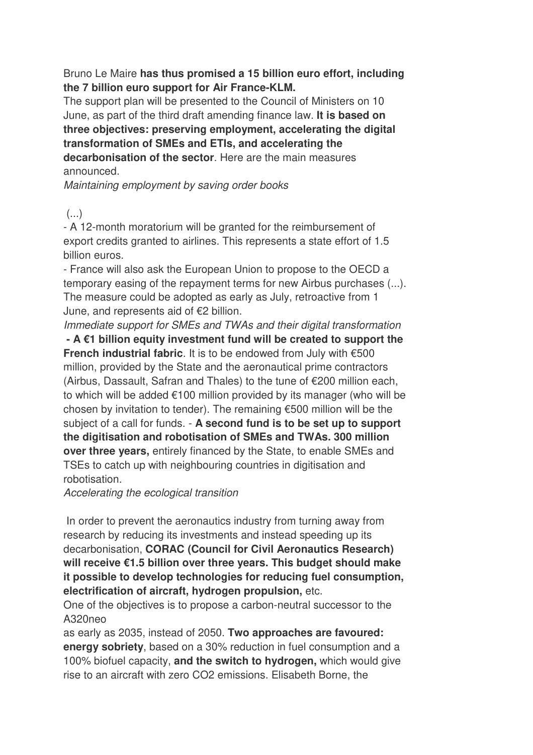Bruno Le Maire **has thus promised a 15 billion euro effort, including the 7 billion euro support for Air France-KLM.** 

The support plan will be presented to the Council of Ministers on 10 June, as part of the third draft amending finance law. **It is based on three objectives: preserving employment, accelerating the digital transformation of SMEs and ETIs, and accelerating the decarbonisation of the sector**. Here are the main measures announced.

Maintaining employment by saving order books

#### $\left( \ldots \right)$

- A 12-month moratorium will be granted for the reimbursement of export credits granted to airlines. This represents a state effort of 1.5 billion euros.

- France will also ask the European Union to propose to the OECD a temporary easing of the repayment terms for new Airbus purchases (...). The measure could be adopted as early as July, retroactive from 1 June, and represents aid of €2 billion.

Immediate support for SMEs and TWAs and their digital transformation

 **- A €1 billion equity investment fund will be created to support the French industrial fabric**. It is to be endowed from July with €500 million, provided by the State and the aeronautical prime contractors (Airbus, Dassault, Safran and Thales) to the tune of €200 million each, to which will be added €100 million provided by its manager (who will be chosen by invitation to tender). The remaining €500 million will be the subject of a call for funds. - **A second fund is to be set up to support the digitisation and robotisation of SMEs and TWAs. 300 million over three years,** entirely financed by the State, to enable SMEs and TSEs to catch up with neighbouring countries in digitisation and robotisation.

Accelerating the ecological transition

 In order to prevent the aeronautics industry from turning away from research by reducing its investments and instead speeding up its decarbonisation, **CORAC (Council for Civil Aeronautics Research) will receive €1.5 billion over three years. This budget should make it possible to develop technologies for reducing fuel consumption, electrification of aircraft, hydrogen propulsion,** etc.

One of the objectives is to propose a carbon-neutral successor to the A320neo

as early as 2035, instead of 2050. **Two approaches are favoured: energy sobriety**, based on a 30% reduction in fuel consumption and a 100% biofuel capacity, **and the switch to hydrogen,** which would give rise to an aircraft with zero CO2 emissions. Elisabeth Borne, the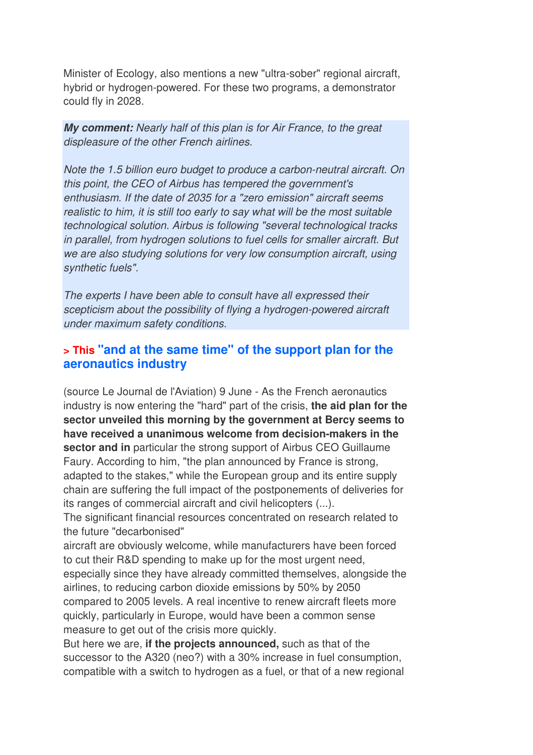Minister of Ecology, also mentions a new "ultra-sober" regional aircraft, hybrid or hydrogen-powered. For these two programs, a demonstrator could fly in 2028.

**My comment:** Nearly half of this plan is for Air France, to the great displeasure of the other French airlines.

Note the 1.5 billion euro budget to produce a carbon-neutral aircraft. On this point, the CEO of Airbus has tempered the government's enthusiasm. If the date of 2035 for a "zero emission" aircraft seems realistic to him, it is still too early to say what will be the most suitable technological solution. Airbus is following "several technological tracks in parallel, from hydrogen solutions to fuel cells for smaller aircraft. But we are also studying solutions for very low consumption aircraft, using synthetic fuels".

The experts I have been able to consult have all expressed their scepticism about the possibility of flying a hydrogen-powered aircraft under maximum safety conditions.

#### **> This "and at the same time" of the support plan for the aeronautics industry**

(source Le Journal de l'Aviation) 9 June - As the French aeronautics industry is now entering the "hard" part of the crisis, **the aid plan for the sector unveiled this morning by the government at Bercy seems to have received a unanimous welcome from decision-makers in the sector and in** particular the strong support of Airbus CEO Guillaume Faury. According to him, "the plan announced by France is strong, adapted to the stakes," while the European group and its entire supply chain are suffering the full impact of the postponements of deliveries for its ranges of commercial aircraft and civil helicopters (...).

The significant financial resources concentrated on research related to the future "decarbonised"

aircraft are obviously welcome, while manufacturers have been forced to cut their R&D spending to make up for the most urgent need, especially since they have already committed themselves, alongside the airlines, to reducing carbon dioxide emissions by 50% by 2050 compared to 2005 levels. A real incentive to renew aircraft fleets more quickly, particularly in Europe, would have been a common sense measure to get out of the crisis more quickly.

But here we are, **if the projects announced,** such as that of the successor to the A320 (neo?) with a 30% increase in fuel consumption, compatible with a switch to hydrogen as a fuel, or that of a new regional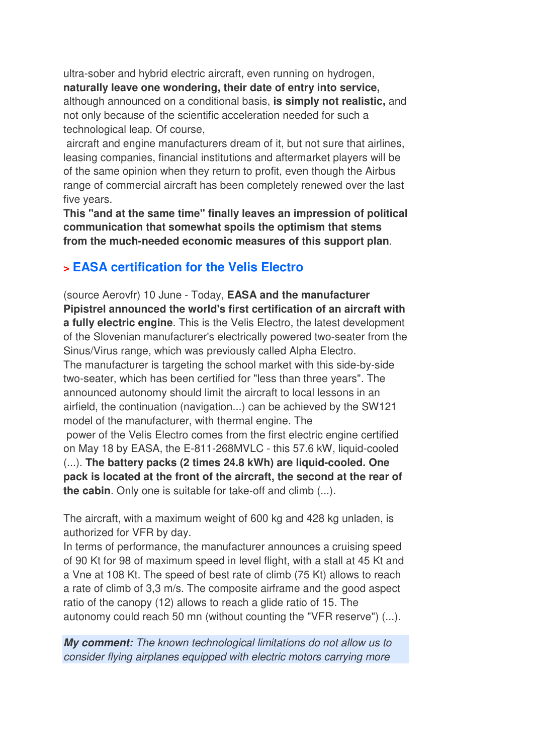ultra-sober and hybrid electric aircraft, even running on hydrogen, **naturally leave one wondering, their date of entry into service,** although announced on a conditional basis, **is simply not realistic,** and not only because of the scientific acceleration needed for such a technological leap. Of course,

 aircraft and engine manufacturers dream of it, but not sure that airlines, leasing companies, financial institutions and aftermarket players will be of the same opinion when they return to profit, even though the Airbus range of commercial aircraft has been completely renewed over the last five years.

**This "and at the same time" finally leaves an impression of political communication that somewhat spoils the optimism that stems from the much-needed economic measures of this support plan**.

## **> EASA certification for the Velis Electro**

(source Aerovfr) 10 June - Today, **EASA and the manufacturer Pipistrel announced the world's first certification of an aircraft with a fully electric engine**. This is the Velis Electro, the latest development of the Slovenian manufacturer's electrically powered two-seater from the Sinus/Virus range, which was previously called Alpha Electro. The manufacturer is targeting the school market with this side-by-side two-seater, which has been certified for "less than three years". The announced autonomy should limit the aircraft to local lessons in an airfield, the continuation (navigation...) can be achieved by the SW121 model of the manufacturer, with thermal engine. The power of the Velis Electro comes from the first electric engine certified on May 18 by EASA, the E-811-268MVLC - this 57.6 kW, liquid-cooled (...). **The battery packs (2 times 24.8 kWh) are liquid-cooled. One pack is located at the front of the aircraft, the second at the rear of the cabin**. Only one is suitable for take-off and climb (...).

The aircraft, with a maximum weight of 600 kg and 428 kg unladen, is authorized for VFR by day.

In terms of performance, the manufacturer announces a cruising speed of 90 Kt for 98 of maximum speed in level flight, with a stall at 45 Kt and a Vne at 108 Kt. The speed of best rate of climb (75 Kt) allows to reach a rate of climb of 3,3 m/s. The composite airframe and the good aspect ratio of the canopy (12) allows to reach a glide ratio of 15. The autonomy could reach 50 mn (without counting the "VFR reserve") (...).

**My comment:** The known technological limitations do not allow us to consider flying airplanes equipped with electric motors carrying more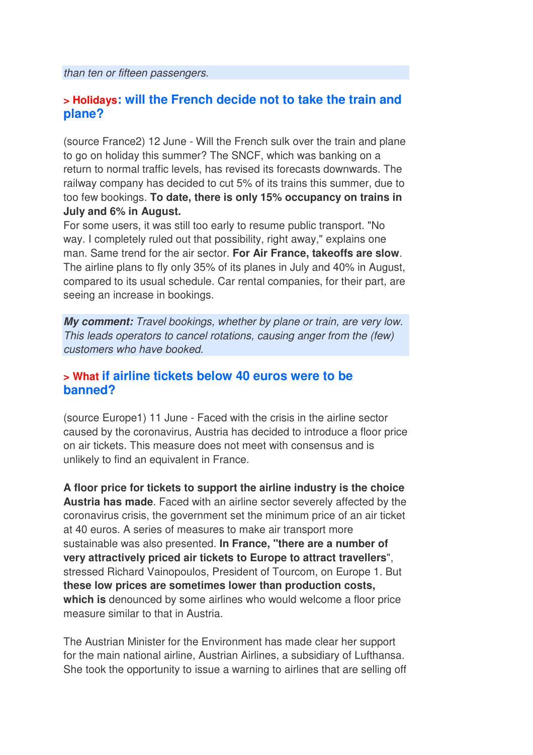than ten or fifteen passengers.

#### **> Holidays: will the French decide not to take the train and plane?**

(source France2) 12 June - Will the French sulk over the train and plane to go on holiday this summer? The SNCF, which was banking on a return to normal traffic levels, has revised its forecasts downwards. The railway company has decided to cut 5% of its trains this summer, due to too few bookings. **To date, there is only 15% occupancy on trains in July and 6% in August.** 

For some users, it was still too early to resume public transport. "No way. I completely ruled out that possibility, right away," explains one man. Same trend for the air sector. **For Air France, takeoffs are slow**. The airline plans to fly only 35% of its planes in July and 40% in August, compared to its usual schedule. Car rental companies, for their part, are seeing an increase in bookings.

**My comment:** Travel bookings, whether by plane or train, are very low. This leads operators to cancel rotations, causing anger from the (few) customers who have booked.

#### **> What if airline tickets below 40 euros were to be banned?**

(source Europe1) 11 June - Faced with the crisis in the airline sector caused by the coronavirus, Austria has decided to introduce a floor price on air tickets. This measure does not meet with consensus and is unlikely to find an equivalent in France.

**A floor price for tickets to support the airline industry is the choice Austria has made**. Faced with an airline sector severely affected by the coronavirus crisis, the government set the minimum price of an air ticket at 40 euros. A series of measures to make air transport more sustainable was also presented. **In France, "there are a number of very attractively priced air tickets to Europe to attract travellers**", stressed Richard Vainopoulos, President of Tourcom, on Europe 1. But **these low prices are sometimes lower than production costs, which is** denounced by some airlines who would welcome a floor price measure similar to that in Austria.

The Austrian Minister for the Environment has made clear her support for the main national airline, Austrian Airlines, a subsidiary of Lufthansa. She took the opportunity to issue a warning to airlines that are selling off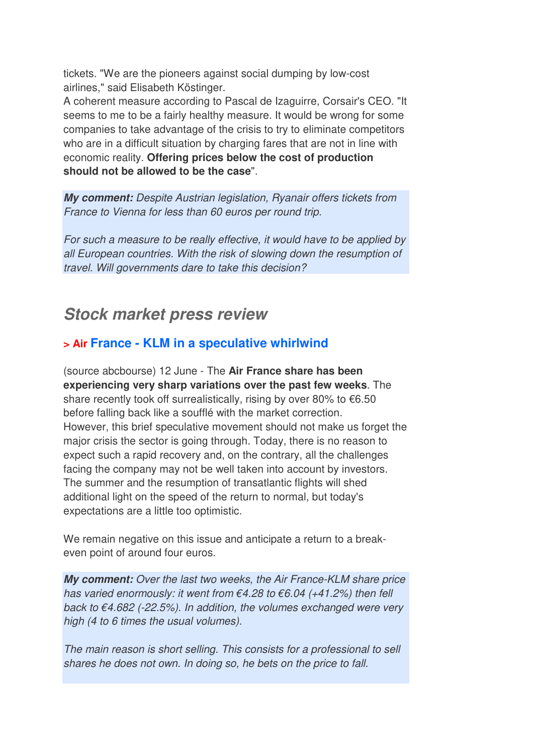tickets. "We are the pioneers against social dumping by low-cost airlines," said Elisabeth Köstinger.

A coherent measure according to Pascal de Izaguirre, Corsair's CEO. "It seems to me to be a fairly healthy measure. It would be wrong for some companies to take advantage of the crisis to try to eliminate competitors who are in a difficult situation by charging fares that are not in line with economic reality. **Offering prices below the cost of production should not be allowed to be the case**".

**My comment:** Despite Austrian legislation, Ryanair offers tickets from France to Vienna for less than 60 euros per round trip.

For such a measure to be really effective, it would have to be applied by all European countries. With the risk of slowing down the resumption of travel. Will governments dare to take this decision?

## **Stock market press review**

## **> Air France - KLM in a speculative whirlwind**

(source abcbourse) 12 June - The **Air France share has been experiencing very sharp variations over the past few weeks**. The share recently took off surrealistically, rising by over 80% to  $€6.50$ before falling back like a soufflé with the market correction. However, this brief speculative movement should not make us forget the major crisis the sector is going through. Today, there is no reason to expect such a rapid recovery and, on the contrary, all the challenges facing the company may not be well taken into account by investors. The summer and the resumption of transatlantic flights will shed additional light on the speed of the return to normal, but today's expectations are a little too optimistic.

We remain negative on this issue and anticipate a return to a breakeven point of around four euros.

**My comment:** Over the last two weeks, the Air France-KLM share price has varied enormously: it went from  $\epsilon$ 4.28 to  $\epsilon$ 6.04 (+41.2%) then fell back to  $\epsilon$ 4.682 (-22.5%). In addition, the volumes exchanged were very high (4 to 6 times the usual volumes).

The main reason is short selling. This consists for a professional to sell shares he does not own. In doing so, he bets on the price to fall.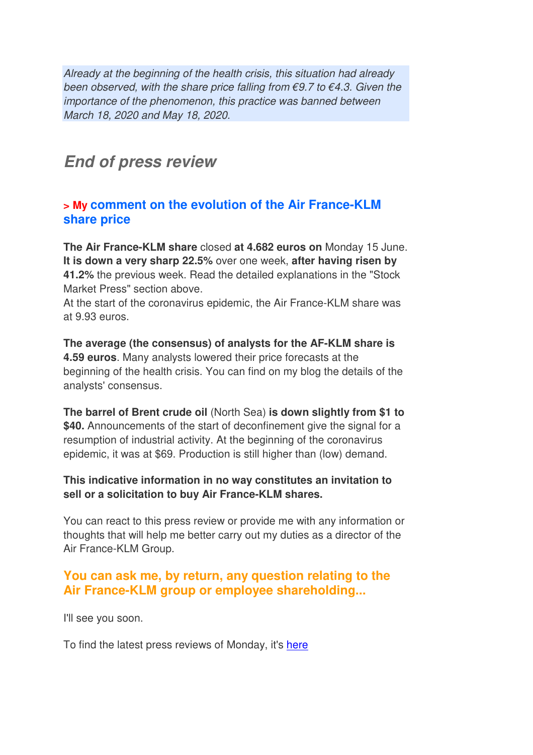Already at the beginning of the health crisis, this situation had already been observed, with the share price falling from  $\epsilon$ 9.7 to  $\epsilon$ 4.3. Given the importance of the phenomenon, this practice was banned between March 18, 2020 and May 18, 2020.

## **End of press review**

## **> My comment on the evolution of the Air France-KLM share price**

**The Air France-KLM share** closed **at 4.682 euros on** Monday 15 June. **It is down a very sharp 22.5%** over one week, **after having risen by 41.2%** the previous week. Read the detailed explanations in the "Stock Market Press" section above.

At the start of the coronavirus epidemic, the Air France-KLM share was at 9.93 euros.

**The average (the consensus) of analysts for the AF-KLM share is 4.59 euros**. Many analysts lowered their price forecasts at the beginning of the health crisis. You can find on my blog the details of the analysts' consensus.

**The barrel of Brent crude oil** (North Sea) **is down slightly from \$1 to \$40.** Announcements of the start of deconfinement give the signal for a resumption of industrial activity. At the beginning of the coronavirus epidemic, it was at \$69. Production is still higher than (low) demand.

#### **This indicative information in no way constitutes an invitation to sell or a solicitation to buy Air France-KLM shares.**

You can react to this press review or provide me with any information or thoughts that will help me better carry out my duties as a director of the Air France-KLM Group.

## **You can ask me, by return, any question relating to the Air France-KLM group or employee shareholding...**

I'll see you soon.

To find the latest press reviews of Monday, it's here